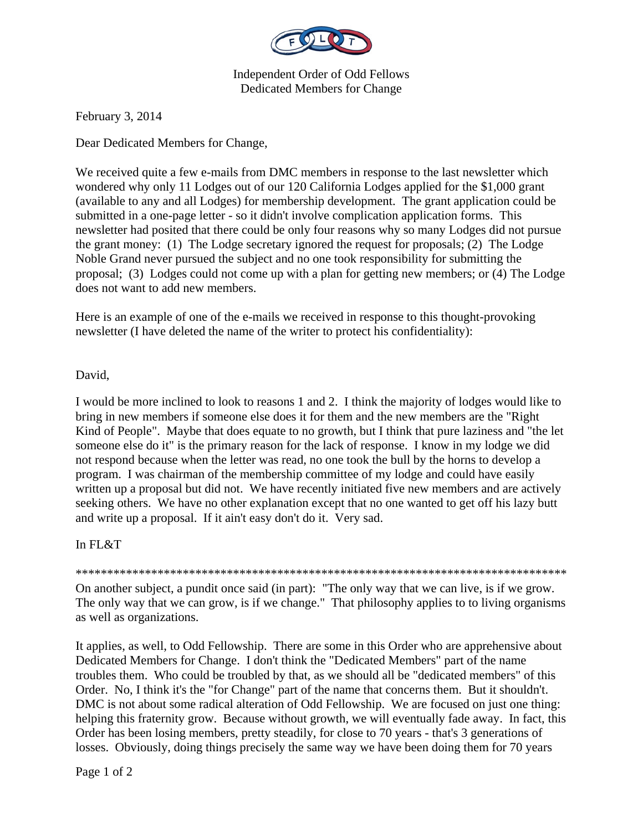

Independent Order of Odd Fellows Dedicated Members for Change

February 3, 2014

Dear Dedicated Members for Change,

We received quite a few e-mails from DMC members in response to the last newsletter which wondered why only 11 Lodges out of our 120 California Lodges applied for the \$1,000 grant (available to any and all Lodges) for membership development. The grant application could be submitted in a one-page letter - so it didn't involve complication application forms. This newsletter had posited that there could be only four reasons why so many Lodges did not pursue the grant money: (1) The Lodge secretary ignored the request for proposals; (2) The Lodge Noble Grand never pursued the subject and no one took responsibility for submitting the proposal; (3) Lodges could not come up with a plan for getting new members; or (4) The Lodge does not want to add new members.

Here is an example of one of the e-mails we received in response to this thought-provoking newsletter (I have deleted the name of the writer to protect his confidentiality):

## David,

I would be more inclined to look to reasons 1 and 2. I think the majority of lodges would like to bring in new members if someone else does it for them and the new members are the "Right Kind of People". Maybe that does equate to no growth, but I think that pure laziness and "the let someone else do it" is the primary reason for the lack of response. I know in my lodge we did not respond because when the letter was read, no one took the bull by the horns to develop a program. I was chairman of the membership committee of my lodge and could have easily written up a proposal but did not. We have recently initiated five new members and are actively seeking others. We have no other explanation except that no one wanted to get off his lazy butt and write up a proposal. If it ain't easy don't do it. Very sad.

## In FL&T

\*\*\*\*\*\*\*\*\*\*\*\*\*\*\*\*\*\*\*\*\*\*\*\*\*\*\*\*\*\*\*\*\*\*\*\*\*\*\*\*\*\*\*\*\*\*\*\*\*\*\*\*\*\*\*\*\*\*\*\*\*\*\*\*\*\*\*\*\*\*\*\*\*\*\*\*\*\*

On another subject, a pundit once said (in part): "The only way that we can live, is if we grow. The only way that we can grow, is if we change." That philosophy applies to to living organisms as well as organizations.

It applies, as well, to Odd Fellowship. There are some in this Order who are apprehensive about Dedicated Members for Change. I don't think the "Dedicated Members" part of the name troubles them. Who could be troubled by that, as we should all be "dedicated members" of this Order. No, I think it's the "for Change" part of the name that concerns them. But it shouldn't. DMC is not about some radical alteration of Odd Fellowship. We are focused on just one thing: helping this fraternity grow. Because without growth, we will eventually fade away. In fact, this Order has been losing members, pretty steadily, for close to 70 years - that's 3 generations of losses. Obviously, doing things precisely the same way we have been doing them for 70 years

Page 1 of 2